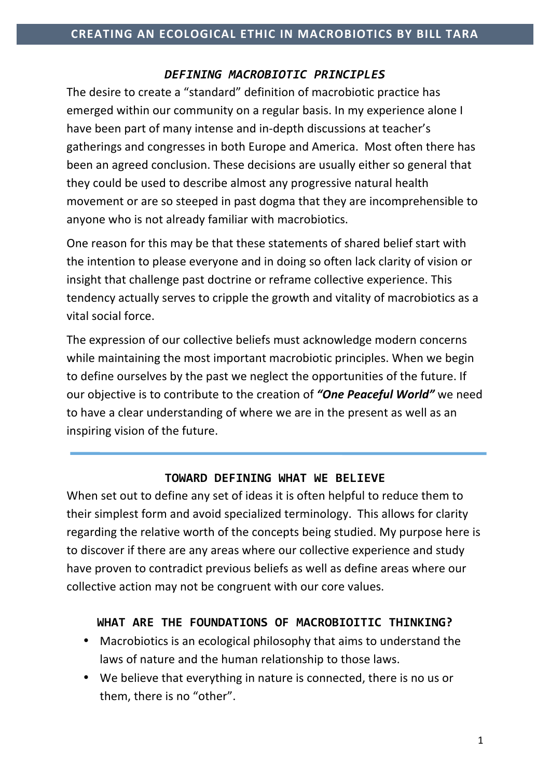### *DEFINING MACROBIOTIC PRINCIPLES*

The desire to create a "standard" definition of macrobiotic practice has emerged within our community on a regular basis. In my experience alone I have been part of many intense and in-depth discussions at teacher's gatherings and congresses in both Europe and America. Most often there has been an agreed conclusion. These decisions are usually either so general that they could be used to describe almost any progressive natural health movement or are so steeped in past dogma that they are incomprehensible to anyone who is not already familiar with macrobiotics.

One reason for this may be that these statements of shared belief start with the intention to please everyone and in doing so often lack clarity of vision or insight that challenge past doctrine or reframe collective experience. This tendency actually serves to cripple the growth and vitality of macrobiotics as a vital social force.

The expression of our collective beliefs must acknowledge modern concerns while maintaining the most important macrobiotic principles. When we begin to define ourselves by the past we neglect the opportunities of the future. If our objective is to contribute to the creation of "One Peaceful World" we need to have a clear understanding of where we are in the present as well as an inspiring vision of the future.

### **TOWARD DEFINING WHAT WE BELIEVE**

When set out to define any set of ideas it is often helpful to reduce them to their simplest form and avoid specialized terminology. This allows for clarity regarding the relative worth of the concepts being studied. My purpose here is to discover if there are any areas where our collective experience and study have proven to contradict previous beliefs as well as define areas where our collective action may not be congruent with our core values.

#### WHAT ARE THE FOUNDATIONS OF MACROBIOITIC THINKING?

- Macrobiotics is an ecological philosophy that aims to understand the laws of nature and the human relationship to those laws.
- We believe that everything in nature is connected, there is no us or them, there is no "other".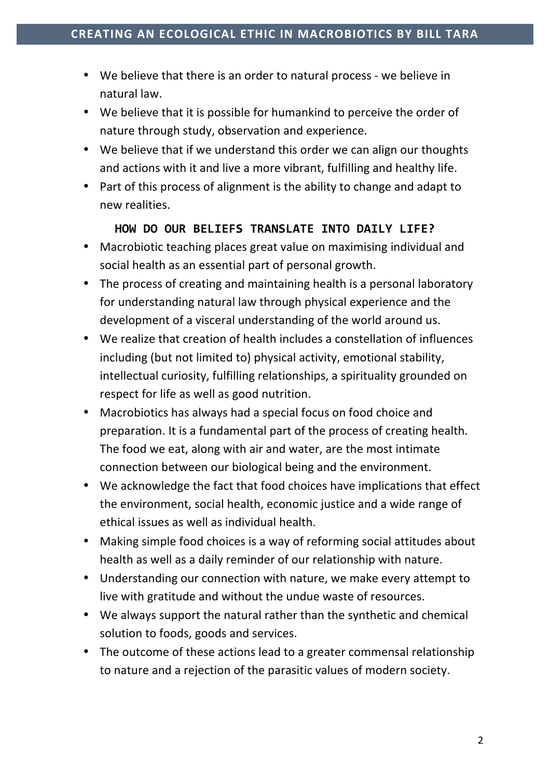- We believe that there is an order to natural process we believe in natural law.
- We believe that it is possible for humankind to perceive the order of nature through study, observation and experience.
- We believe that if we understand this order we can align our thoughts and actions with it and live a more vibrant, fulfilling and healthy life.
- Part of this process of alignment is the ability to change and adapt to new realities.

# **HOW DO OUR BELIEFS TRANSLATE INTO DAILY LIFE?**

- Macrobiotic teaching places great value on maximising individual and social health as an essential part of personal growth.
- The process of creating and maintaining health is a personal laboratory for understanding natural law through physical experience and the development of a visceral understanding of the world around us.
- We realize that creation of health includes a constellation of influences including (but not limited to) physical activity, emotional stability, intellectual curiosity, fulfilling relationships, a spirituality grounded on respect for life as well as good nutrition.
- Macrobiotics has always had a special focus on food choice and preparation. It is a fundamental part of the process of creating health. The food we eat, along with air and water, are the most intimate connection between our biological being and the environment.
- We acknowledge the fact that food choices have implications that effect the environment, social health, economic justice and a wide range of ethical issues as well as individual health.
- Making simple food choices is a way of reforming social attitudes about health as well as a daily reminder of our relationship with nature.
- Understanding our connection with nature, we make every attempt to live with gratitude and without the undue waste of resources.
- We always support the natural rather than the synthetic and chemical solution to foods, goods and services.
- The outcome of these actions lead to a greater commensal relationship to nature and a rejection of the parasitic values of modern society.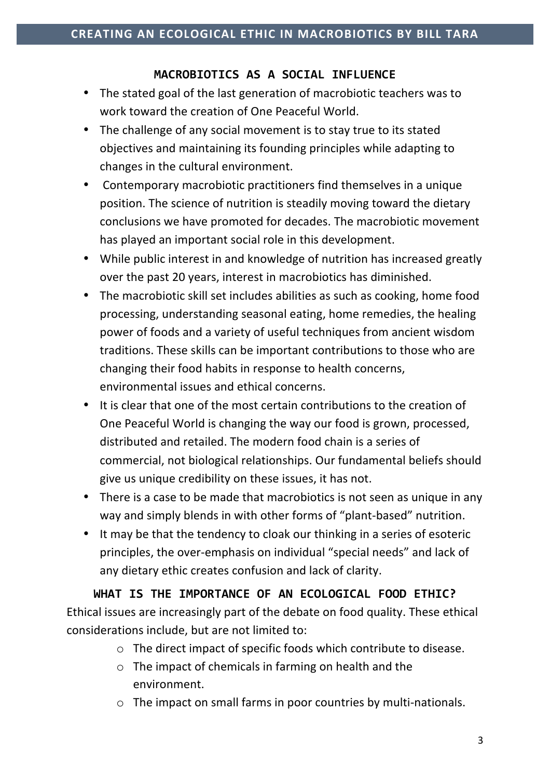## MACROBIOTICS AS A SOCIAL INFLUENCE

- The stated goal of the last generation of macrobiotic teachers was to work toward the creation of One Peaceful World.
- The challenge of any social movement is to stay true to its stated objectives and maintaining its founding principles while adapting to changes in the cultural environment.
- Contemporary macrobiotic practitioners find themselves in a unique position. The science of nutrition is steadily moving toward the dietary conclusions we have promoted for decades. The macrobiotic movement has played an important social role in this development.
- While public interest in and knowledge of nutrition has increased greatly over the past 20 years, interest in macrobiotics has diminished.
- The macrobiotic skill set includes abilities as such as cooking, home food processing, understanding seasonal eating, home remedies, the healing power of foods and a variety of useful techniques from ancient wisdom traditions. These skills can be important contributions to those who are changing their food habits in response to health concerns, environmental issues and ethical concerns.
- It is clear that one of the most certain contributions to the creation of One Peaceful World is changing the way our food is grown, processed, distributed and retailed. The modern food chain is a series of commercial, not biological relationships. Our fundamental beliefs should give us unique credibility on these issues, it has not.
- There is a case to be made that macrobiotics is not seen as unique in any way and simply blends in with other forms of "plant-based" nutrition.
- It may be that the tendency to cloak our thinking in a series of esoteric principles, the over-emphasis on individual "special needs" and lack of any dietary ethic creates confusion and lack of clarity.

# WHAT IS THE IMPORTANCE OF AN ECOLOGICAL FOOD ETHIC? Ethical issues are increasingly part of the debate on food quality. These ethical

considerations include, but are not limited to:

- $\circ$  The direct impact of specific foods which contribute to disease.
- $\circ$  The impact of chemicals in farming on health and the environment.
- $\circ$  The impact on small farms in poor countries by multi-nationals.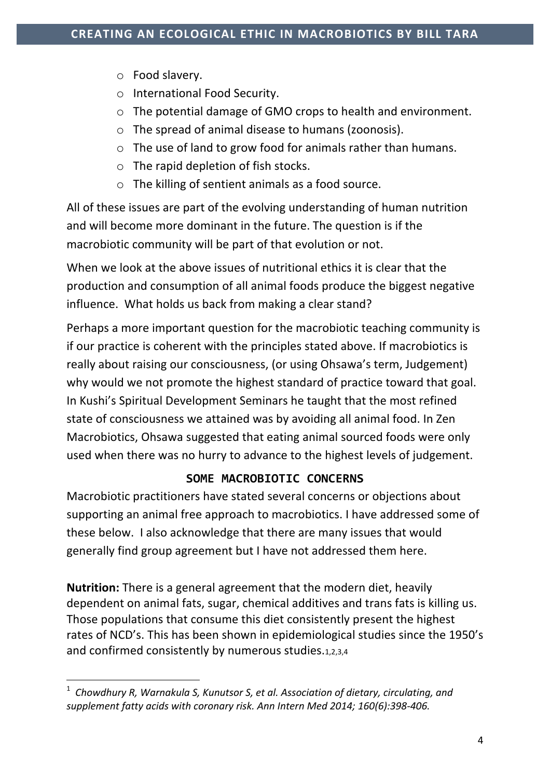- $\circ$  Food slavery.
- o International Food Security.
- $\circ$  The potential damage of GMO crops to health and environment.
- $\circ$  The spread of animal disease to humans (zoonosis).
- $\circ$  The use of land to grow food for animals rather than humans.
- $\circ$  The rapid depletion of fish stocks.
- $\circ$  The killing of sentient animals as a food source.

All of these issues are part of the evolving understanding of human nutrition and will become more dominant in the future. The question is if the macrobiotic community will be part of that evolution or not.

When we look at the above issues of nutritional ethics it is clear that the production and consumption of all animal foods produce the biggest negative influence. What holds us back from making a clear stand?

Perhaps a more important question for the macrobiotic teaching community is if our practice is coherent with the principles stated above. If macrobiotics is really about raising our consciousness, (or using Ohsawa's term, Judgement) why would we not promote the highest standard of practice toward that goal. In Kushi's Spiritual Development Seminars he taught that the most refined state of consciousness we attained was by avoiding all animal food. In Zen Macrobiotics, Ohsawa suggested that eating animal sourced foods were only used when there was no hurry to advance to the highest levels of judgement.

# SOME MACROBIOTIC CONCERNS

Macrobiotic practitioners have stated several concerns or objections about supporting an animal free approach to macrobiotics. I have addressed some of these below. I also acknowledge that there are many issues that would generally find group agreement but I have not addressed them here.

**Nutrition:** There is a general agreement that the modern diet, heavily dependent on animal fats, sugar, chemical additives and trans fats is killing us. Those populations that consume this diet consistently present the highest rates of NCD's. This has been shown in epidemiological studies since the 1950's and confirmed consistently by numerous studies.1,2,3,4

 

<sup>&</sup>lt;sup>1</sup> Chowdhury R, Warnakula S, Kunutsor S, et al. Association of dietary, circulating, and supplement fatty acids with coronary risk. Ann Intern Med 2014; 160(6):398-406.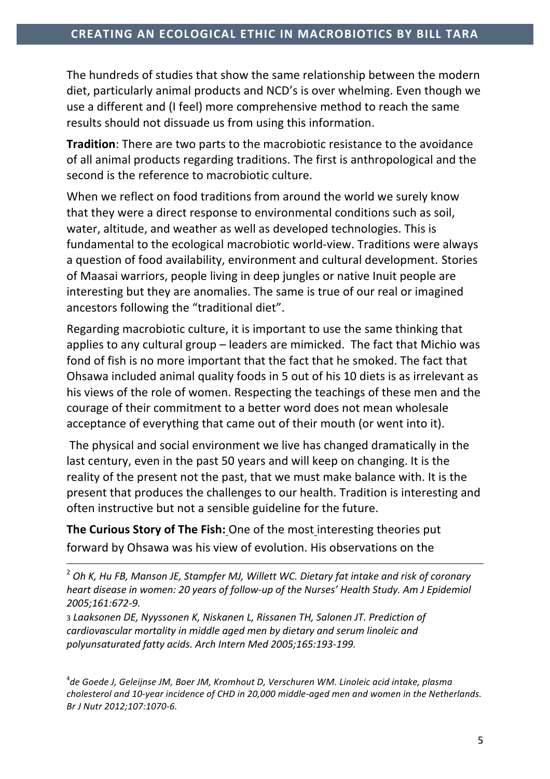The hundreds of studies that show the same relationship between the modern diet, particularly animal products and NCD's is over whelming. Even though we use a different and (I feel) more comprehensive method to reach the same results should not dissuade us from using this information.

**Tradition**: There are two parts to the macrobiotic resistance to the avoidance of all animal products regarding traditions. The first is anthropological and the second is the reference to macrobiotic culture.

When we reflect on food traditions from around the world we surely know that they were a direct response to environmental conditions such as soil, water, altitude, and weather as well as developed technologies. This is fundamental to the ecological macrobiotic world-view. Traditions were always a question of food availability, environment and cultural development. Stories of Maasai warriors, people living in deep jungles or native Inuit people are interesting but they are anomalies. The same is true of our real or imagined ancestors following the "traditional diet".

Regarding macrobiotic culture, it is important to use the same thinking that applies to any cultural group - leaders are mimicked. The fact that Michio was fond of fish is no more important that the fact that he smoked. The fact that Ohsawa included animal quality foods in 5 out of his 10 diets is as irrelevant as his views of the role of women. Respecting the teachings of these men and the courage of their commitment to a better word does not mean wholesale acceptance of everything that came out of their mouth (or went into it).

The physical and social environment we live has changed dramatically in the last century, even in the past 50 years and will keep on changing. It is the reality of the present not the past, that we must make balance with. It is the present that produces the challenges to our health. Tradition is interesting and often instructive but not a sensible guideline for the future.

**The Curious Story of The Fish: One of the most interesting theories put** forward by Ohsawa was his view of evolution. His observations on the

<u> 1989 - Jan Sarajević, politički predsjednik i politički predsjednik i politički politički politički političk</u>

3 Laaksonen DE, Nyyssonen K, Niskanen L, Rissanen TH, Salonen JT. Prediction of *cardiovascular mortality in middle aged men by dietary and serum linoleic and polyunsaturated fatty acids. Arch Intern Med 2005;165:193-199.*

<sup>4</sup>de Goede J, Geleijnse JM, Boer JM, Kromhout D, Verschuren WM. Linoleic acid intake, plasma cholesterol and 10-year incidence of CHD in 20,000 middle-aged men and women in the Netherlands. *Br J Nutr 2012;107:1070-6.*

<sup>&</sup>lt;sup>2</sup> Oh K, Hu FB, Manson JE, Stampfer MJ, Willett WC. Dietary fat intake and risk of coronary *heart disease in women: 20 years of follow-up of the Nurses' Health Study. Am J Epidemiol 2005;161:672-9.*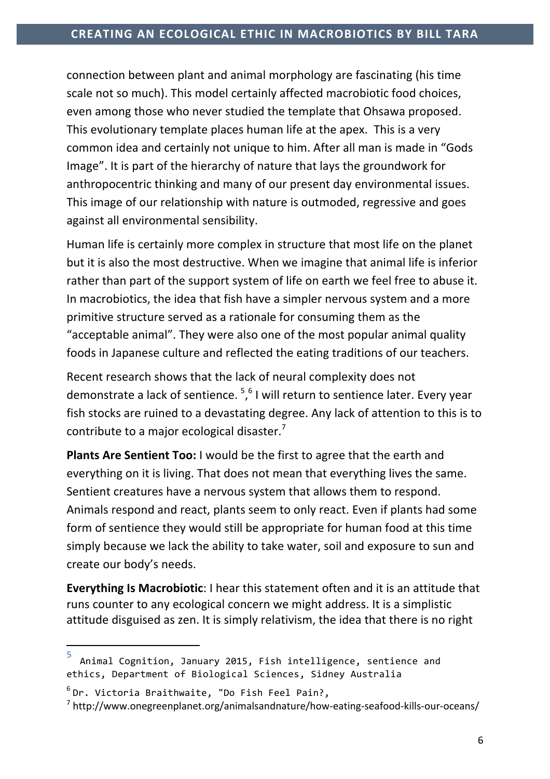connection between plant and animal morphology are fascinating (his time scale not so much). This model certainly affected macrobiotic food choices, even among those who never studied the template that Ohsawa proposed. This evolutionary template places human life at the apex. This is a very common idea and certainly not unique to him. After all man is made in "Gods Image". It is part of the hierarchy of nature that lays the groundwork for anthropocentric thinking and many of our present day environmental issues. This image of our relationship with nature is outmoded, regressive and goes against all environmental sensibility.

Human life is certainly more complex in structure that most life on the planet but it is also the most destructive. When we imagine that animal life is inferior rather than part of the support system of life on earth we feel free to abuse it. In macrobiotics, the idea that fish have a simpler nervous system and a more primitive structure served as a rationale for consuming them as the "acceptable animal". They were also one of the most popular animal quality foods in Japanese culture and reflected the eating traditions of our teachers.

Recent research shows that the lack of neural complexity does not demonstrate a lack of sentience. <sup>5,6</sup> I will return to sentience later. Every year fish stocks are ruined to a devastating degree. Any lack of attention to this is to contribute to a major ecological disaster.<sup>7</sup>

**Plants Are Sentient Too:** I would be the first to agree that the earth and everything on it is living. That does not mean that everything lives the same. Sentient creatures have a nervous system that allows them to respond. Animals respond and react, plants seem to only react. Even if plants had some form of sentience they would still be appropriate for human food at this time simply because we lack the ability to take water, soil and exposure to sun and create our body's needs.

**Everything Is Macrobiotic:** I hear this statement often and it is an attitude that runs counter to any ecological concern we might address. It is a simplistic attitude disguised as zen. It is simply relativism, the idea that there is no right

 

 $\frac{5}{10}$  Animal Cognition, January 2015, Fish intelligence, sentience and ethics, Department of Biological Sciences, Sidney Australia

 $6$  Dr. Victoria Braithwaite, "Do Fish Feel Pain?,

 $7$  http://www.onegreenplanet.org/animalsandnature/how-eating-seafood-kills-our-oceans/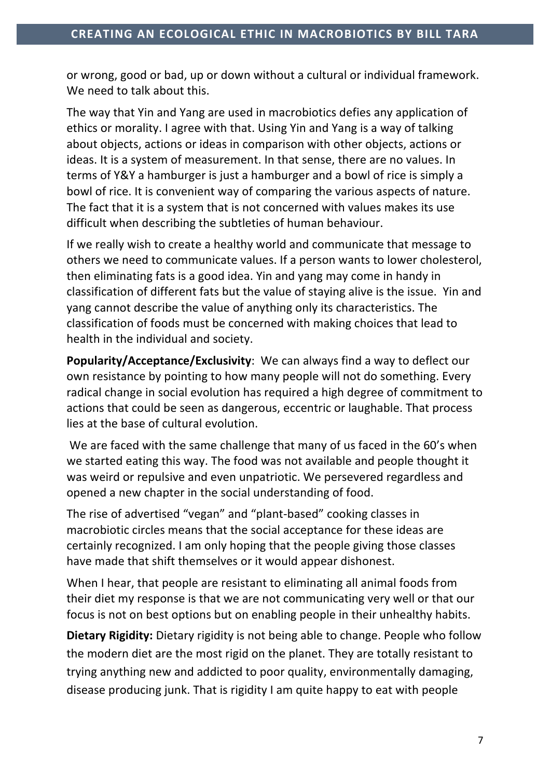or wrong, good or bad, up or down without a cultural or individual framework. We need to talk about this.

The way that Yin and Yang are used in macrobiotics defies any application of ethics or morality. I agree with that. Using Yin and Yang is a way of talking about objects, actions or ideas in comparison with other objects, actions or ideas. It is a system of measurement. In that sense, there are no values. In terms of Y&Y a hamburger is just a hamburger and a bowl of rice is simply a bowl of rice. It is convenient way of comparing the various aspects of nature. The fact that it is a system that is not concerned with values makes its use difficult when describing the subtleties of human behaviour.

If we really wish to create a healthy world and communicate that message to others we need to communicate values. If a person wants to lower cholesterol, then eliminating fats is a good idea. Yin and yang may come in handy in classification of different fats but the value of staying alive is the issue. Yin and yang cannot describe the value of anything only its characteristics. The classification of foods must be concerned with making choices that lead to health in the individual and society.

**Popularity/Acceptance/Exclusivity:** We can always find a way to deflect our own resistance by pointing to how many people will not do something. Every radical change in social evolution has required a high degree of commitment to actions that could be seen as dangerous, eccentric or laughable. That process lies at the base of cultural evolution.

We are faced with the same challenge that many of us faced in the 60's when we started eating this way. The food was not available and people thought it was weird or repulsive and even unpatriotic. We persevered regardless and opened a new chapter in the social understanding of food.

The rise of advertised "vegan" and "plant-based" cooking classes in macrobiotic circles means that the social acceptance for these ideas are certainly recognized. I am only hoping that the people giving those classes have made that shift themselves or it would appear dishonest.

When I hear, that people are resistant to eliminating all animal foods from their diet my response is that we are not communicating very well or that our focus is not on best options but on enabling people in their unhealthy habits.

**Dietary Rigidity:** Dietary rigidity is not being able to change. People who follow the modern diet are the most rigid on the planet. They are totally resistant to trying anything new and addicted to poor quality, environmentally damaging, disease producing junk. That is rigidity I am quite happy to eat with people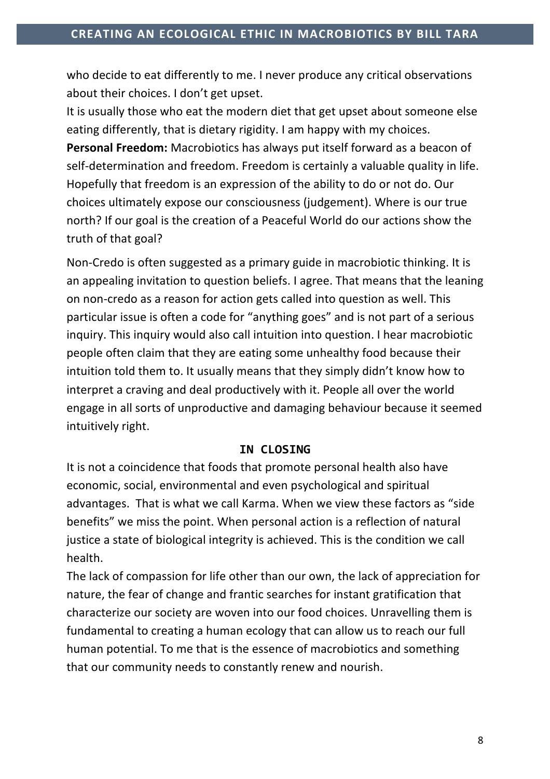who decide to eat differently to me. I never produce any critical observations about their choices. I don't get upset.

It is usually those who eat the modern diet that get upset about someone else eating differently, that is dietary rigidity. I am happy with my choices. **Personal Freedom:** Macrobiotics has always put itself forward as a beacon of self-determination and freedom. Freedom is certainly a valuable quality in life. Hopefully that freedom is an expression of the ability to do or not do. Our choices ultimately expose our consciousness (judgement). Where is our true north? If our goal is the creation of a Peaceful World do our actions show the truth of that goal?

Non-Credo is often suggested as a primary guide in macrobiotic thinking. It is an appealing invitation to question beliefs. I agree. That means that the leaning on non-credo as a reason for action gets called into question as well. This particular issue is often a code for "anything goes" and is not part of a serious inquiry. This inquiry would also call intuition into question. I hear macrobiotic people often claim that they are eating some unhealthy food because their intuition told them to. It usually means that they simply didn't know how to interpret a craving and deal productively with it. People all over the world engage in all sorts of unproductive and damaging behaviour because it seemed intuitively right.

### **IN CLOSING**

It is not a coincidence that foods that promote personal health also have economic, social, environmental and even psychological and spiritual advantages. That is what we call Karma. When we view these factors as "side benefits" we miss the point. When personal action is a reflection of natural justice a state of biological integrity is achieved. This is the condition we call health. 

The lack of compassion for life other than our own, the lack of appreciation for nature, the fear of change and frantic searches for instant gratification that characterize our society are woven into our food choices. Unravelling them is fundamental to creating a human ecology that can allow us to reach our full human potential. To me that is the essence of macrobiotics and something that our community needs to constantly renew and nourish.